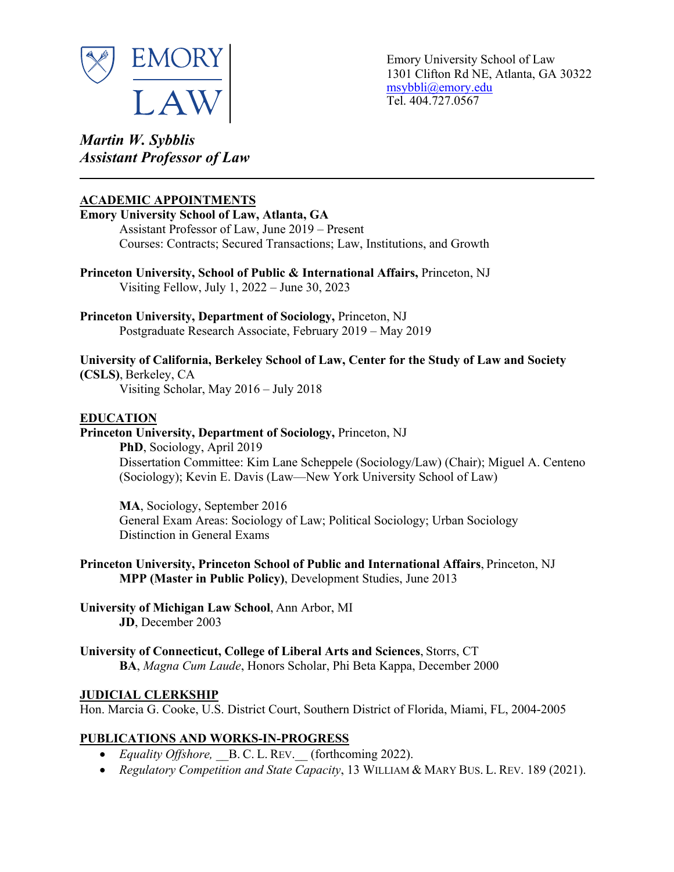

Emory University School of Law 1301 Clifton Rd NE, Atlanta, GA 30322 msybbli@emory.edu Tel. 404.727.0567

*Martin W. Sybblis Assistant Professor of Law* **\_\_\_\_\_\_\_\_\_\_\_\_\_\_\_\_\_\_\_\_\_\_\_\_\_\_\_\_\_\_\_\_\_\_\_\_\_\_\_\_\_\_\_\_\_\_\_\_\_\_\_\_\_\_\_\_\_\_\_\_\_\_\_\_\_\_\_\_\_\_\_\_\_\_\_\_\_\_\_\_\_\_\_\_\_**

## **ACADEMIC APPOINTMENTS**

# **Emory University School of Law, Atlanta, GA** Assistant Professor of Law, June 2019 – Present Courses: Contracts; Secured Transactions; Law, Institutions, and Growth **Princeton University, School of Public & International Affairs,** Princeton, NJ Visiting Fellow, July 1, 2022 – June 30, 2023 **Princeton University, Department of Sociology,** Princeton, NJ Postgraduate Research Associate, February 2019 – May 2019 **University of California, Berkeley School of Law, Center for the Study of Law and Society (CSLS)**, Berkeley, CA Visiting Scholar, May 2016 – July 2018 **EDUCATION Princeton University, Department of Sociology,** Princeton, NJ **PhD**, Sociology, April 2019 Dissertation Committee: Kim Lane Scheppele (Sociology/Law) (Chair); Miguel A. Centeno (Sociology); Kevin E. Davis (Law—New York University School of Law) **MA**, Sociology, September 2016 General Exam Areas: Sociology of Law; Political Sociology; Urban Sociology Distinction in General Exams **Princeton University, Princeton School of Public and International Affairs**, Princeton, NJ

**MPP (Master in Public Policy)**, Development Studies, June 2013

**University of Michigan Law School**, Ann Arbor, MI **JD**, December 2003

**University of Connecticut, College of Liberal Arts and Sciences**, Storrs, CT **BA**, *Magna Cum Laude*, Honors Scholar, Phi Beta Kappa, December 2000

## **JUDICIAL CLERKSHIP**

Hon. Marcia G. Cooke, U.S. District Court, Southern District of Florida, Miami, FL, 2004-2005

# **PUBLICATIONS AND WORKS-IN-PROGRESS**

- *Equality Offshore*, B. C. L. REV. (forthcoming 2022).
- *Regulatory Competition and State Capacity*, 13 WILLIAM & MARY BUS. L. REV. 189 (2021).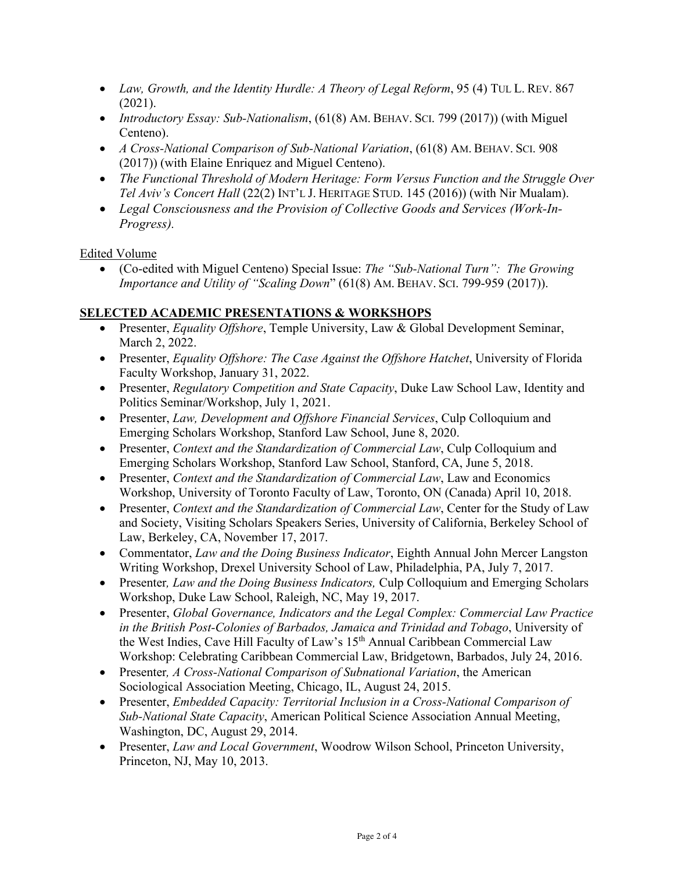- *Law, Growth, and the Identity Hurdle: A Theory of Legal Reform*, 95 (4) TUL L. REV. 867 (2021).
- *Introductory Essay: Sub-Nationalism*, (61(8) AM. BEHAV. SCI. 799 (2017)) (with Miguel Centeno).
- *A Cross-National Comparison of Sub-National Variation*, (61(8) AM. BEHAV. SCI. 908 (2017)) (with Elaine Enriquez and Miguel Centeno).
- *The Functional Threshold of Modern Heritage: Form Versus Function and the Struggle Over Tel Aviv's Concert Hall* (22(2) INT'L J. HERITAGE STUD. 145 (2016)) (with Nir Mualam).
- *Legal Consciousness and the Provision of Collective Goods and Services (Work-In-Progress).*

Edited Volume

• (Co-edited with Miguel Centeno) Special Issue: *The "Sub-National Turn": The Growing Importance and Utility of "Scaling Down*" (61(8) AM. BEHAV. SCI. 799-959 (2017)).

## **SELECTED ACADEMIC PRESENTATIONS & WORKSHOPS**

- Presenter, *Equality Offshore*, Temple University, Law & Global Development Seminar, March 2, 2022.
- Presenter, *Equality Offshore: The Case Against the Offshore Hatchet*, University of Florida Faculty Workshop, January 31, 2022.
- Presenter, *Regulatory Competition and State Capacity*, Duke Law School Law, Identity and Politics Seminar/Workshop, July 1, 2021.
- Presenter, *Law, Development and Offshore Financial Services*, Culp Colloquium and Emerging Scholars Workshop, Stanford Law School, June 8, 2020.
- Presenter, *Context and the Standardization of Commercial Law*, Culp Colloquium and Emerging Scholars Workshop, Stanford Law School, Stanford, CA, June 5, 2018.
- Presenter, *Context and the Standardization of Commercial Law*, Law and Economics Workshop, University of Toronto Faculty of Law, Toronto, ON (Canada) April 10, 2018.
- Presenter, *Context and the Standardization of Commercial Law*, Center for the Study of Law and Society, Visiting Scholars Speakers Series, University of California, Berkeley School of Law, Berkeley, CA, November 17, 2017.
- Commentator, *Law and the Doing Business Indicator*, Eighth Annual John Mercer Langston Writing Workshop, Drexel University School of Law, Philadelphia, PA, July 7, 2017.
- Presenter, *Law and the Doing Business Indicators*, Culp Colloquium and Emerging Scholars Workshop, Duke Law School, Raleigh, NC, May 19, 2017.
- Presenter, *Global Governance, Indicators and the Legal Complex: Commercial Law Practice in the British Post-Colonies of Barbados, Jamaica and Trinidad and Tobago*, University of the West Indies, Cave Hill Faculty of Law's 15<sup>th</sup> Annual Caribbean Commercial Law Workshop: Celebrating Caribbean Commercial Law, Bridgetown, Barbados, July 24, 2016.
- Presenter*, A Cross-National Comparison of Subnational Variation*, the American Sociological Association Meeting, Chicago, IL, August 24, 2015.
- Presenter, *Embedded Capacity: Territorial Inclusion in a Cross-National Comparison of Sub-National State Capacity*, American Political Science Association Annual Meeting, Washington, DC, August 29, 2014.
- Presenter, *Law and Local Government*, Woodrow Wilson School, Princeton University, Princeton, NJ, May 10, 2013.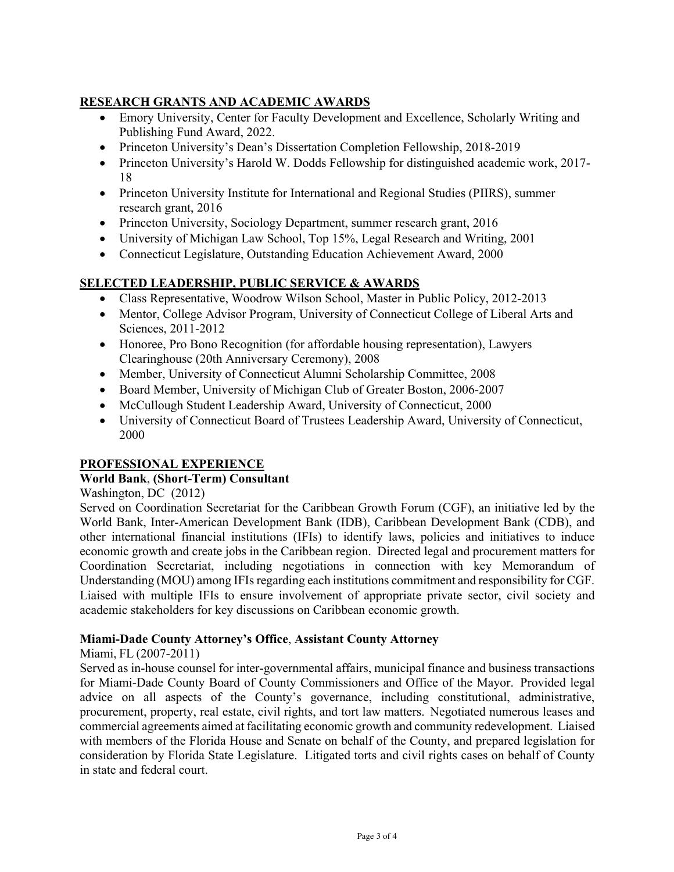## **RESEARCH GRANTS AND ACADEMIC AWARDS**

- Emory University, Center for Faculty Development and Excellence, Scholarly Writing and Publishing Fund Award, 2022.
- Princeton University's Dean's Dissertation Completion Fellowship, 2018-2019
- Princeton University's Harold W. Dodds Fellowship for distinguished academic work, 2017- 18
- Princeton University Institute for International and Regional Studies (PIIRS), summer research grant, 2016
- Princeton University, Sociology Department, summer research grant, 2016
- University of Michigan Law School, Top 15%, Legal Research and Writing, 2001
- Connecticut Legislature, Outstanding Education Achievement Award, 2000

## **SELECTED LEADERSHIP, PUBLIC SERVICE & AWARDS**

- Class Representative, Woodrow Wilson School, Master in Public Policy, 2012-2013
- Mentor, College Advisor Program, University of Connecticut College of Liberal Arts and Sciences, 2011-2012
- Honoree, Pro Bono Recognition (for affordable housing representation), Lawyers Clearinghouse (20th Anniversary Ceremony), 2008
- Member, University of Connecticut Alumni Scholarship Committee, 2008
- Board Member, University of Michigan Club of Greater Boston, 2006-2007
- McCullough Student Leadership Award, University of Connecticut, 2000
- University of Connecticut Board of Trustees Leadership Award, University of Connecticut, 2000

## **PROFESSIONAL EXPERIENCE**

## **World Bank**, **(Short-Term) Consultant**

Washington, DC (2012)

Served on Coordination Secretariat for the Caribbean Growth Forum (CGF), an initiative led by the World Bank, Inter-American Development Bank (IDB), Caribbean Development Bank (CDB), and other international financial institutions (IFIs) to identify laws, policies and initiatives to induce economic growth and create jobs in the Caribbean region. Directed legal and procurement matters for Coordination Secretariat, including negotiations in connection with key Memorandum of Understanding (MOU) among IFIs regarding each institutions commitment and responsibility for CGF. Liaised with multiple IFIs to ensure involvement of appropriate private sector, civil society and academic stakeholders for key discussions on Caribbean economic growth.

## **Miami-Dade County Attorney's Office**, **Assistant County Attorney**

#### Miami, FL (2007-2011)

Served as in-house counsel for inter-governmental affairs, municipal finance and business transactions for Miami-Dade County Board of County Commissioners and Office of the Mayor. Provided legal advice on all aspects of the County's governance, including constitutional, administrative, procurement, property, real estate, civil rights, and tort law matters. Negotiated numerous leases and commercial agreements aimed at facilitating economic growth and community redevelopment. Liaised with members of the Florida House and Senate on behalf of the County, and prepared legislation for consideration by Florida State Legislature. Litigated torts and civil rights cases on behalf of County in state and federal court.